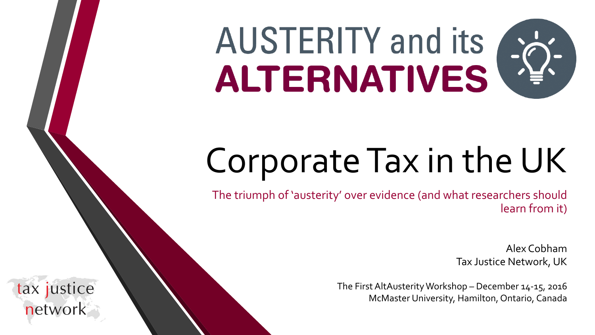# AUSTERITY and its a

## Corporate Tax in the UK

The triumph of 'austerity' over evidence (and what researchers should learn from it)

> Alex Cobham Tax Justice Network, UK

The First AltAusterityWorkshop – December 14-15, 2016 McMaster University, Hamilton, Ontario, Canada

tax justice network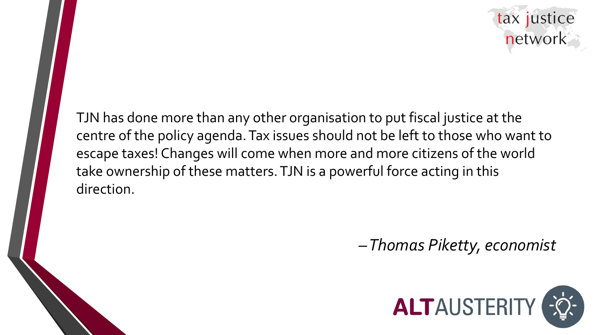

TJN has done more than any other organisation to put fiscal justice at the centre of the policy agenda. Tax issues should not be left to those who want to escape taxes! Changes will come when more and more citizens of the world take ownership of these matters. TJN is a powerful force acting in this direction.

*–Thomas Piketty, economist*

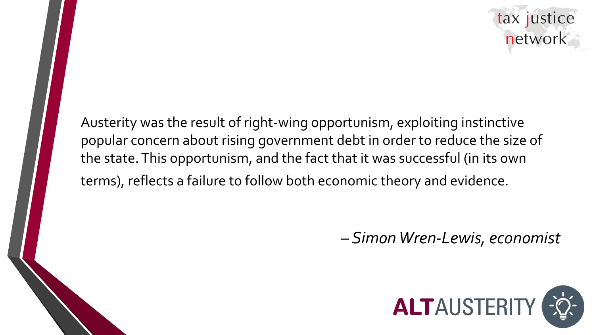

Austerity was the result of right-wing opportunism, exploiting instinctive popular concern about rising government debt in order to reduce the size of the state. This opportunism, and the fact that it was successful (in its own terms), reflects a failure to follow both economic theory and evidence.

*– Simon Wren-Lewis, economist*

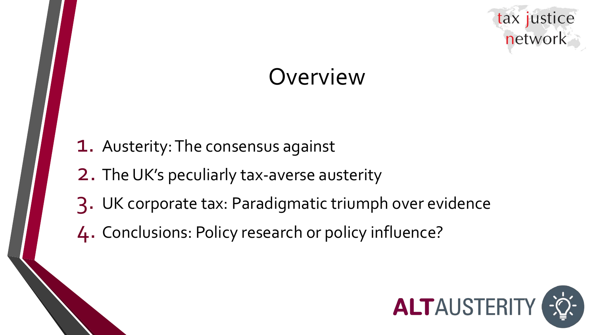

## **Overview**

- 1. Austerity: The consensus against
- 2. The UK's peculiarly tax-averse austerity
- 3. UK corporate tax: Paradigmatic triumph over evidence
- 4. Conclusions: Policy research or policy influence?

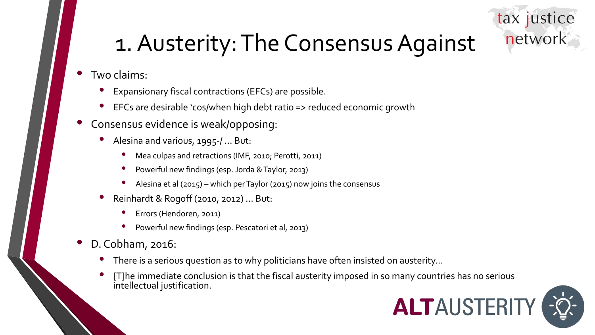### tax justice network

## 1. Austerity: The Consensus Against

- Two claims:
	- Expansionary fiscal contractions (EFCs) are possible.
	- EFCs are desirable 'cos/when high debt ratio => reduced economic growth
- Consensus evidence is weak/opposing:
	- Alesina and various, 1995-/ … But:
		- Mea culpas and retractions (IMF, 2010; Perotti, 2011)
		- Powerful new findings (esp. Jorda & Taylor, 2013)
		- Alesina et al (2015) which per Taylor (2015) now joins the consensus
	- Reinhardt & Rogoff (2010, 2012) … But:
		- Errors (Hendoren, 2011)
		- Powerful new findings (esp. Pescatori et al, 2013)
- D. Cobham, 2016:
	- There is a serious question as to why politicians have often insisted on austerity...
	- [T]he immediate conclusion is that the fiscal austerity imposed in so many countries has no serious intellectual justification.

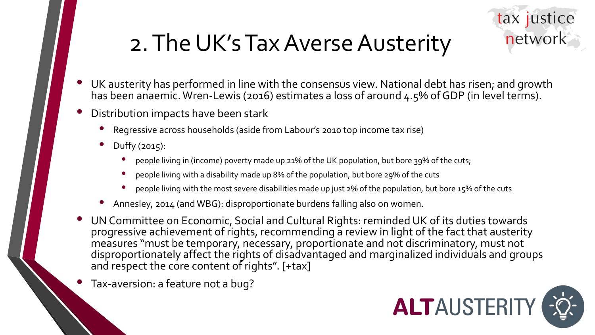

## 2. The UK's Tax Averse Austerity

- UK austerity has performed in line with the consensus view. National debt has risen; and growth has been anaemic. Wren-Lewis (2016) estimates a loss of around 4.5% of GDP (in level terms).
- Distribution impacts have been stark
	- Regressive across households (aside from Labour's 2010 top income tax rise)
	- Duffy (2015):
		- people living in (income) poverty made up 21% of the UK population, but bore 39% of the cuts;
		- people living with a disability made up 8% of the population, but bore 29% of the cuts
		- people living with the most severe disabilities made up just 2% of the population, but bore 15% of the cuts
	- Annesley, 2014 (and WBG): disproportionate burdens falling also on women.
- UN Committee on Economic, Social and Cultural Rights: reminded UK of its duties towards progressive achievement of rights, recommending a review in light of the fact that austerity measures "must be temporary, necessary, proportionate and not discriminatory, must not disproportionately affect the rights of disadvantaged and marginalized individuals and groups and respect the core content of rights". [+tax]
- Tax-aversion: a feature not a bug?

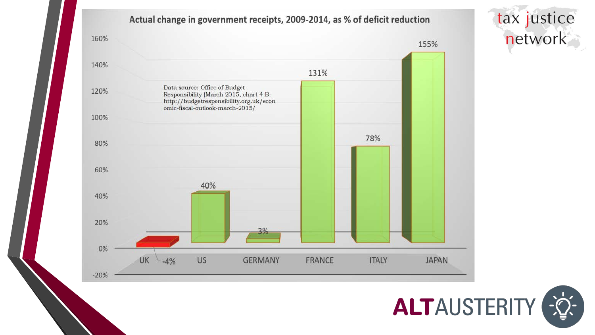#### Actual change in government receipts, 2009-2014, as % of deficit reduction





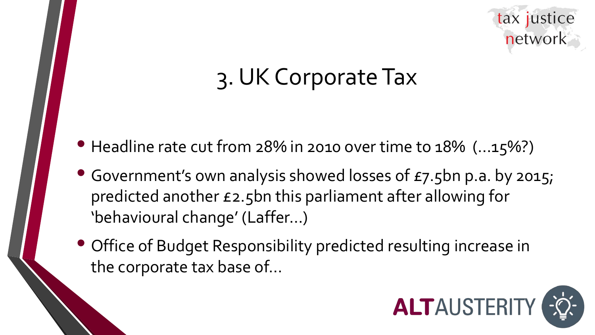

## 3. UK Corporate Tax

- Headline rate cut from 28% in 2010 over time to 18% (...15%?)
- Government's own analysis showed losses of £7.5bn p.a. by 2015; predicted another £2.5bn this parliament after allowing for 'behavioural change' (Laffer…)
- Office of Budget Responsibility predicted resulting increase in the corporate tax base of…

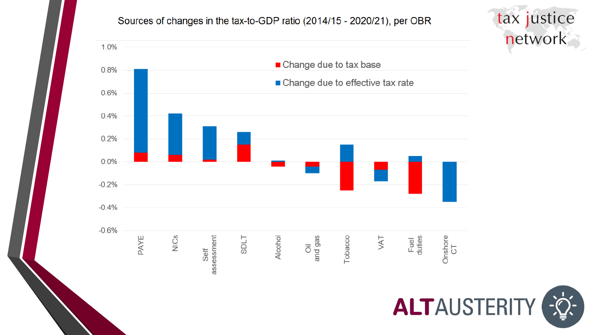#### Sources of changes in the tax-to-GDP ratio (2014/15 - 2020/21), per OBR





tax justice

network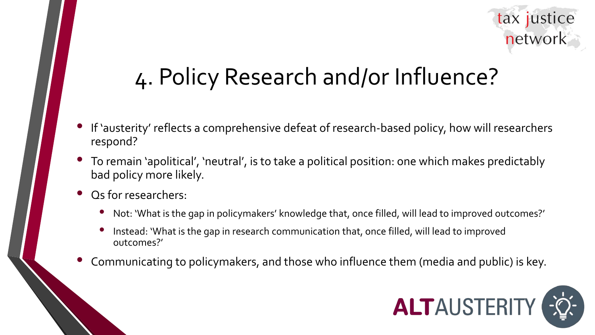

## 4. Policy Research and/or Influence?

- If 'austerity' reflects a comprehensive defeat of research-based policy, how will researchers respond?
- To remain 'apolitical', 'neutral', is to take a political position: one which makes predictably bad policy more likely.
- Qs for researchers:
	- Not: 'What is the gap in policymakers' knowledge that, once filled, will lead to improved outcomes?'
	- Instead: 'What is the gap in research communication that, once filled, will lead to improved outcomes?'
- Communicating to policymakers, and those who influence them (media and public) is key.

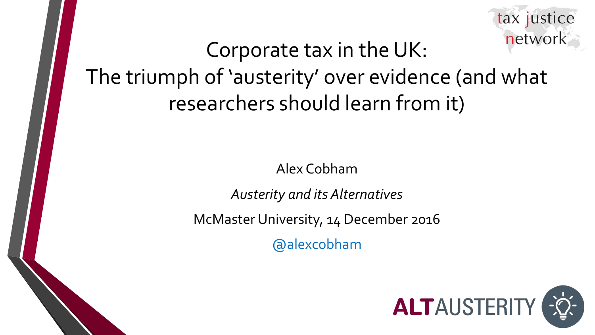

## Corporate tax in the UK: The triumph of 'austerity' over evidence (and what researchers should learn from it)

Alex Cobham

*Austerity and its Alternatives*

McMaster University, 14 December 2016

@alexcobham